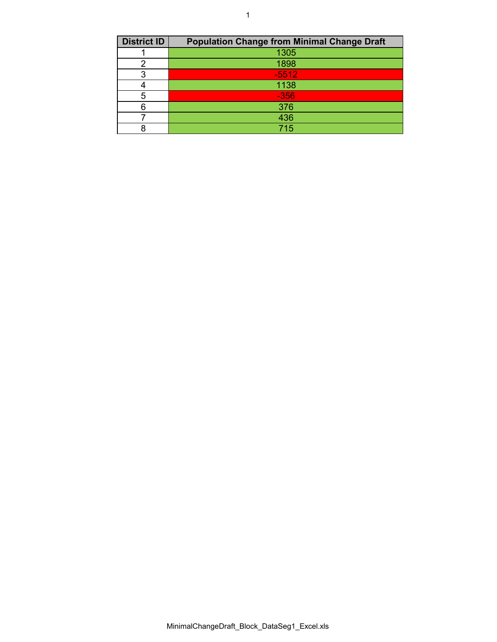| <b>District ID</b> | <b>Population Change from Minimal Change Draft</b> |
|--------------------|----------------------------------------------------|
|                    | 1305                                               |
|                    | 1898                                               |
|                    | $-5512$                                            |
|                    | 1138                                               |
|                    | $-356$                                             |
|                    | 376                                                |
|                    | 436                                                |
|                    | 715                                                |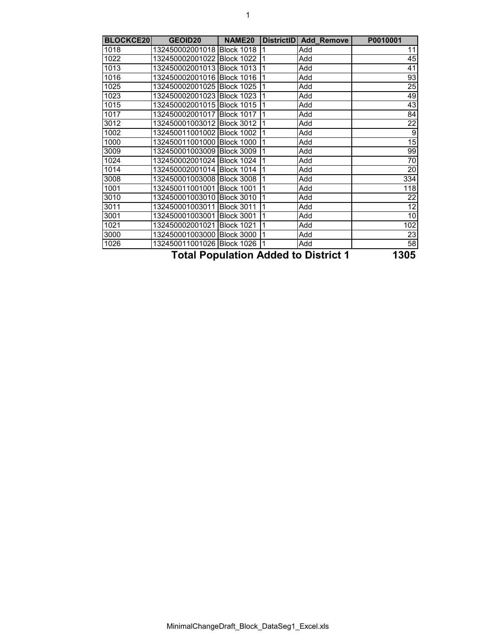| <b>BLOCKCE20</b> | <b>GEOID20</b>             | NAME <sub>20</sub> |   | DistrictID Add Remove                | P0010001        |
|------------------|----------------------------|--------------------|---|--------------------------------------|-----------------|
| 1018             | 132450002001018 Block 1018 |                    |   | Add                                  | 11              |
| 1022             | 132450002001022            | <b>Block 1022</b>  |   | Add                                  | 45              |
| 1013             | 132450002001013 Block 1013 |                    |   | Add                                  | 41              |
| 1016             | 132450002001016            | <b>Block 1016</b>  |   | Add                                  | 93              |
| 1025             | 132450002001025 Block 1025 |                    |   | Add                                  | 25              |
| 1023             | 132450002001023 Block 1023 |                    |   | Add                                  | 49              |
| 1015             | 132450002001015 Block 1015 |                    |   | Add                                  | 43              |
| 1017             | 132450002001017 Block 1017 |                    |   | Add                                  | 84              |
| 3012             | 132450001003012 Block 3012 |                    |   | Add                                  | $\overline{22}$ |
| 1002             | 132450011001002 Block 1002 |                    |   | Add                                  | $\overline{9}$  |
| 1000             | 132450011001000 Block 1000 |                    |   | Add                                  | 15              |
| 3009             | 132450001003009 Block 3009 |                    |   | Add                                  | 99              |
| 1024             | 132450002001024 Block 1024 |                    |   | Add                                  | 70              |
| 1014             | 132450002001014 Block 1014 |                    |   | Add                                  | 20              |
| 3008             | 132450001003008 Block 3008 |                    |   | Add                                  | 334             |
| 1001             | 132450011001001            | <b>Block 1001</b>  |   | Add                                  | 118             |
| 3010             | 132450001003010            | <b>Block 3010</b>  |   | Add                                  | 22              |
| 3011             | 132450001003011            | <b>Block 3011</b>  |   | Add                                  | 12              |
| 3001             | 132450001003001            | <b>Block 3001</b>  |   | Add                                  | 10              |
| 1021             | 132450002001021            | <b>Block 1021</b>  |   | Add                                  | 102             |
| 3000             | 132450001003000            | <b>Block 3000</b>  |   | Add                                  | 23              |
| 1026             | 132450011001026 Block 1026 |                    | 1 | Add                                  | $\overline{58}$ |
|                  |                            |                    |   | Tatel Depulation Added to District 4 | 49AE            |

**Total Population Added to District 1 1305**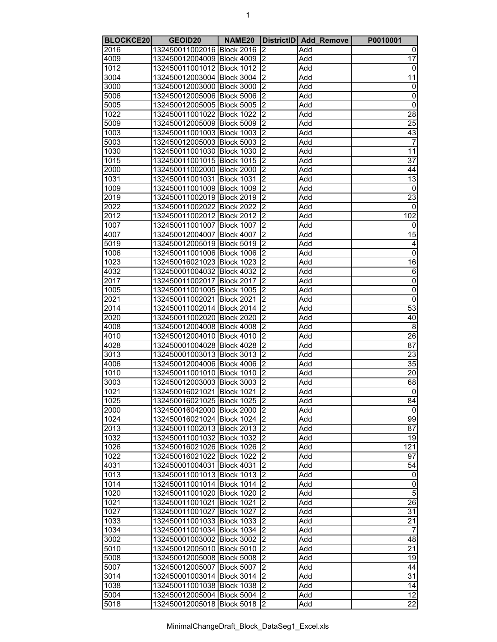| ۰. |  |
|----|--|
|    |  |
|    |  |
|    |  |
|    |  |
|    |  |

| <b>BLOCKCE20</b> | <b>GEOID20</b>               | NAME <sub>20</sub> |                         | DistrictID Add Remove | P0010001        |
|------------------|------------------------------|--------------------|-------------------------|-----------------------|-----------------|
| 2016             | 132450011002016 Block 2016   |                    | $\overline{2}$          | Add                   | 0               |
| 4009             | 132450012004009 Block 4009   |                    | $\overline{c}$          | Add                   | 17              |
| 1012             | 132450011001012 Block 1012   |                    | $\overline{c}$          | Add                   | 0               |
| 3004             | 132450012003004 Block 3004   |                    | $\overline{2}$          | Add                   | $\overline{11}$ |
| 3000             | 132450012003000 Block 3000   |                    | $\overline{2}$          | Add                   | $\pmb{0}$       |
| 5006             | 132450012005006 Block 5006   |                    | $\overline{2}$          | Add                   | $\overline{0}$  |
| 5005             | 132450012005005 Block 5005   |                    | $\overline{c}$          | Add                   | 0               |
| 1022             | 132450011001022 Block 1022   |                    | $\overline{2}$          | Add                   | 28              |
| 5009             | 132450012005009 Block 5009   |                    | $\overline{2}$          | Add                   | 25              |
| 1003             | 132450011001003 Block 1003   |                    | 2                       | Add                   | 43              |
| 5003             | 132450012005003 Block 5003   |                    | $\overline{2}$          | Add                   | 7               |
| 1030             | 132450011001030 Block 1030   |                    | $\overline{2}$          | Add                   | 11              |
| 1015             | 132450011001015 Block 1015   |                    | $\overline{c}$          | Add                   | $\overline{37}$ |
| 2000             | 132450011002000 Block 2000   |                    | $\overline{c}$          | Add                   | 44              |
| 1031             | 132450011001031 Block 1031   |                    | $\overline{2}$          | Add                   | $\overline{13}$ |
| 1009             | 132450011001009 Block 1009   |                    | $\overline{2}$          | Add                   | $\mathbf 0$     |
| 2019             | 132450011002019 Block 2019   |                    | $\overline{2}$          | Add                   | $\overline{23}$ |
| 2022             | 132450011002022 Block 2022   |                    | $\overline{2}$          | Add                   | 0               |
| 2012             | 132450011002012 Block 2012   |                    | $\overline{c}$          | Add                   | 102             |
| 1007             | 132450011001007 Block 1007   |                    | 2                       | Add                   | 0               |
| 4007             | 132450012004007 Block 4007   |                    | $\overline{2}$          | Add                   | 15              |
| 5019             | 132450012005019 Block 5019   |                    | $\overline{2}$          | Add                   | 4               |
| 1006             | 132450011001006 Block 1006   |                    | $\overline{c}$          | Add                   | $\overline{0}$  |
| 1023             | 132450016021023 Block 1023   |                    | $\overline{\mathbf{c}}$ | Add                   | 16              |
| 4032             | 132450001004032 Block 4032   |                    | $\overline{2}$          | Add                   | $\overline{6}$  |
| 2017             | 132450011002017 Block 2017   |                    | $\overline{2}$          | Add                   | $\overline{0}$  |
| 1005             | 132450011001005 Block 1005   |                    | $\overline{2}$          | Add                   | $\overline{0}$  |
| 2021             | 132450011002021 Block 2021   |                    | $\overline{2}$          | Add                   | $\mathbf 0$     |
| 2014             | 132450011002014 Block 2014   |                    | $\overline{c}$          | Add                   | 53              |
| 2020             | 132450011002020 Block 2020   |                    | $\overline{2}$          | Add                   | 40              |
| 4008             | 132450012004008 Block 4008   |                    | $\overline{2}$          | Add                   | $\overline{8}$  |
| 4010             | 132450012004010 Block 4010   |                    | $\overline{2}$          | Add                   | 26              |
| 4028             | 132450001004028 Block 4028   |                    | $\overline{c}$          | Add                   | $\overline{87}$ |
| 3013             | 132450001003013 Block 3013   |                    | $\overline{\mathbf{c}}$ | Add                   | 23              |
| 4006             | 132450012004006 Block 4006   |                    | $\overline{2}$          | Add                   | $\overline{35}$ |
| 1010             | 132450011001010 Block 1010   |                    | Σ                       | Add                   | $\overline{20}$ |
| 3003             | 132450012003003 Block 3003   |                    | 2                       | Add                   | 68              |
| 1021             | 132450016021021 Block 1021   |                    | $\overline{2}$          | Add                   | 0               |
| 1025             | 132450016021025 Block 1025   |                    | $\mathsf{I}2$           | Add                   | 84              |
| 2000             | 132450016042000 Block 2000   |                    | 2                       | Add                   | $\Omega$        |
| 1024             | 132450016021024 Block 1024   |                    | 2                       | Add                   | 99              |
| 2013             | 132450011002013 Block 2013   |                    | 2                       | Add                   | 87              |
| 1032             | 132450011001032 Block 1032   |                    | 2                       | Add                   | 19              |
| 1026             | 132450016021026 Block 1026   |                    | 2                       | Add                   | 121             |
| 1022             | 132450016021022 Block 1022   |                    | $\overline{2}$          | Add                   | 97              |
| 4031             | 132450001004031 Block 4031   |                    | $\overline{2}$          | Add                   | 54              |
| 1013             | 132450011001013 Block 1013   |                    | S                       | Add                   | 0               |
| 1014             | 132450011001014 Block 1014   |                    | $\overline{2}$          | Add                   | 0               |
| 1020             | 132450011001020 Block 1020   |                    | $\overline{2}$          | Add                   | $\overline{5}$  |
| 1021             | 132450011001021 Block 1021   |                    | Σ                       | Add                   | $\overline{26}$ |
| 1027             | 132450011001027 Block 1027   |                    | $\overline{2}$          | Add                   | 31              |
| 1033             | 132450011001033 Block 1033   |                    | 2                       | Add                   | $\overline{21}$ |
| 1034             | 132450011001034 Block 1034   |                    | $\overline{2}$          | Add                   | $\overline{7}$  |
| 3002             | 132450001003002 Block 3002   |                    | $\overline{2}$          | Add                   | 48              |
| 5010             | 132450012005010 Block 5010   |                    | $\overline{2}$          | Add                   | $\overline{21}$ |
| 5008             | 132450012005008 Block 5008   |                    | 2                       | Add                   | 19              |
| 5007             | 132450012005007 Block 5007   |                    | S                       | Add                   | 44              |
| 3014             | 132450001003014 Block 3014   |                    | $\overline{2}$          | Add                   | 31              |
| 1038             | 132450011001038 Block 1038   |                    | $\overline{2}$          | Add                   | $\overline{14}$ |
| 5004             | 132450012005004 Block 5004   |                    | $\overline{2}$          | Add                   | 12              |
| 5018             | 132450012005018 Block 5018 2 |                    |                         | Add                   | $\overline{22}$ |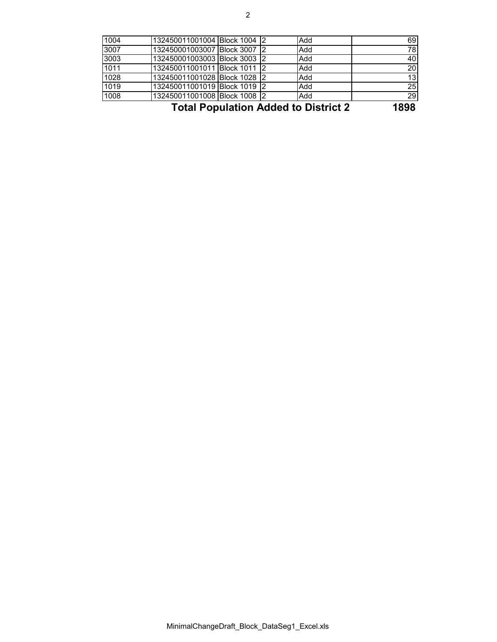| 1008 | 132450011001008 Block 1008 2 |  | Add | 29 |
|------|------------------------------|--|-----|----|
|      |                              |  |     |    |
| 1019 | 132450011001019 Block 1019 2 |  | Add | 25 |
| 1028 | 132450011001028 Block 1028 2 |  | Add | 13 |
| 1011 | 132450011001011 Block 1011 2 |  | Add | 20 |
| 3003 | 132450001003003 Block 3003 2 |  | Add | 40 |
| 3007 | 132450001003007 Block 3007 2 |  | Add | 78 |
| 1004 | 132450011001004 Block 1004 2 |  | Add | 69 |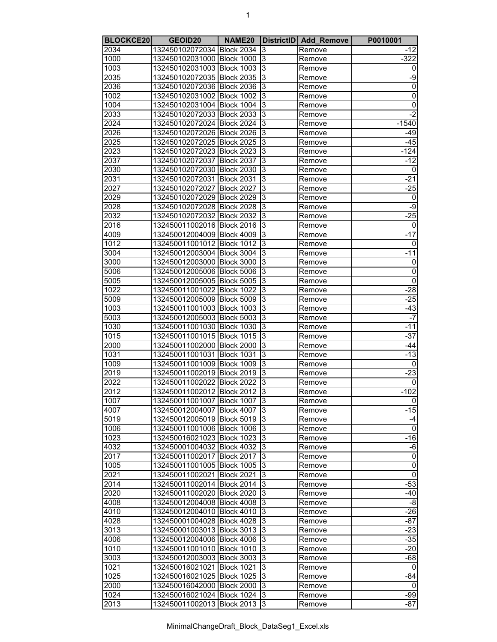| ۰. |  |
|----|--|
|    |  |
|    |  |
|    |  |
|    |  |
|    |  |

| <b>BLOCKCE20</b> | GEOID20                    | NAME <sub>20</sub> |                | DistrictID   Add_Remove | P0010001       |
|------------------|----------------------------|--------------------|----------------|-------------------------|----------------|
| 2034             | 132450102072034 Block 2034 |                    | 3              | Remove                  | $-12$          |
| 1000             | 132450102031000 Block 1000 |                    | 3              | Remove                  | $-322$         |
| 1003             | 132450102031003 Block 1003 |                    | 3              | Remove                  | 0              |
| 2035             | 132450102072035 Block 2035 |                    | 3              | Remove                  | -9             |
| 2036             | 132450102072036 Block 2036 |                    | 3              | Remove                  | $\overline{0}$ |
| 1002             | 132450102031002 Block 1002 |                    | $\overline{3}$ | Remove                  | $\overline{0}$ |
| 1004             | 132450102031004 Block 1004 |                    | 3              | Remove                  | $\overline{0}$ |
| 2033             | 132450102072033 Block 2033 |                    | 3              | Remove                  | $-2$           |
| 2024             | 132450102072024 Block 2024 |                    | 3              | Remove                  | $-1540$        |
| 2026             | 132450102072026 Block 2026 |                    | 3              | Remove                  | $-49$          |
| 2025             | 132450102072025 Block 2025 |                    | 3              | Remove                  | $-45$          |
| 2023             | 132450102072023 Block 2023 |                    | 3              | Remove                  | $-124$         |
| 2037             | 132450102072037 Block 2037 |                    | 3              | Remove                  | $-12$          |
| 2030             | 132450102072030 Block 2030 |                    | 3              | Remove                  | 0              |
| 2031             | 132450102072031 Block 2031 |                    | 3              | Remove                  | $-21$          |
| 2027             | 132450102072027 Block 2027 |                    | 3              | Remove                  | $-25$          |
| 2029             | 132450102072029 Block 2029 |                    | 3              | Remove                  | 0              |
| 2028             | 132450102072028 Block 2028 |                    | 3              | Remove                  | $-9$           |
| 2032             | 132450102072032 Block 2032 |                    | 3              | Remove                  | $-25$          |
| 2016             | 132450011002016 Block 2016 |                    | 3              | Remove                  | 0              |
| 4009             | 132450012004009 Block 4009 |                    | 3              |                         | -17            |
|                  |                            |                    | 3              | Remove                  |                |
| 1012             | 132450011001012 Block 1012 |                    |                | Remove                  | 0              |
| 3004             | 132450012003004 Block 3004 |                    | 3              | Remove                  | $-11$          |
| 3000             | 132450012003000 Block 3000 |                    | 3              | Remove                  | 0              |
| 5006             | 132450012005006 Block 5006 |                    | 3              | Remove                  | $\overline{0}$ |
| 5005             | 132450012005005 Block 5005 |                    | 3              | Remove                  | $\overline{0}$ |
| 1022             | 132450011001022 Block 1022 |                    | 3              | Remove                  | $-28$          |
| 5009             | 132450012005009 Block 5009 |                    | 3              | Remove                  | $-25$          |
| 1003             | 132450011001003 Block 1003 |                    | 3              | Remove                  | $-43$          |
| 5003             | 132450012005003 Block 5003 |                    | $\overline{3}$ | Remove                  | $-7$           |
| 1030             | 132450011001030            | <b>Block 1030</b>  | 3              | Remove                  | $-11$          |
| 1015             | 132450011001015            | Block 1015         | 3              | Remove                  | $-37$          |
| 2000             | 132450011002000 Block 2000 |                    | 3              | Remove                  | -44            |
| 1031             | 132450011001031            | <b>Block 1031</b>  | 3              | Remove                  | $-13$          |
| 1009             | 132450011001009 Block 1009 |                    | $\overline{3}$ | Remove                  | $\mathbf{0}$   |
| 2019             | 132450011002019 Block 2019 |                    | 3              | Remove                  | $-23$          |
| 2022             | 132450011002022 Block 2022 |                    | 3              | Remove                  | 0              |
| 2012             | 132450011002012 Block 2012 |                    | 3              | Remove                  | $-102$         |
| 1007             | 132450011001007 Block 1007 |                    | I3             | Remove                  | 0              |
| 4007             | 132450012004007 Block 4007 |                    | 3              | Remove                  | $-15$          |
| 5019             | 132450012005019 Block 5019 |                    | 3              | Remove                  | -4             |
| 1006             | 132450011001006 Block 1006 |                    | 3              | Remove                  | 0              |
| 1023             | 132450016021023 Block 1023 |                    | 3              | Remove                  | $-16$          |
| 4032             | 132450001004032 Block 4032 |                    | 3              | Remove                  | -6             |
| 2017             | 132450011002017 Block 2017 |                    | 3              | Remove                  | $\overline{0}$ |
| 1005             | 132450011001005 Block 1005 |                    | 3              | Remove                  | $\overline{0}$ |
| 2021             | 132450011002021 Block 2021 |                    | 3              | Remove                  | 0              |
| 2014             | 132450011002014 Block 2014 |                    | 3              | Remove                  | $-53$          |
| 2020             | 132450011002020 Block 2020 |                    | 3              | Remove                  | $-40$          |
| 4008             | 132450012004008 Block 4008 |                    | 3              | Remove                  | -8             |
| 4010             | 132450012004010 Block 4010 |                    | 3              | Remove                  | $-26$          |
| 4028             | 132450001004028 Block 4028 |                    | 3              | Remove                  | $-87$          |
| 3013             | 132450001003013 Block 3013 |                    | 3              | Remove                  | $-23$          |
| 4006             | 132450012004006 Block 4006 |                    | 3              | Remove                  | $-35$          |
| 1010             | 132450011001010 Block 1010 |                    | 3              | Remove                  | $-20$          |
| 3003             | 132450012003003 Block 3003 |                    | 3              | Remove                  | -68            |
| 1021             | 132450016021021 Block 1021 |                    | 3              | Remove                  | 0              |
| 1025             | 132450016021025 Block 1025 |                    | 3              | Remove                  | -84            |
| 2000             | 132450016042000 Block 2000 |                    | 3              | Remove                  | 0              |
| 1024             | 132450016021024 Block 1024 |                    | 3              | Remove                  | -99            |
| 2013             | 132450011002013 Block 2013 |                    | 3              | Remove                  | $-87$          |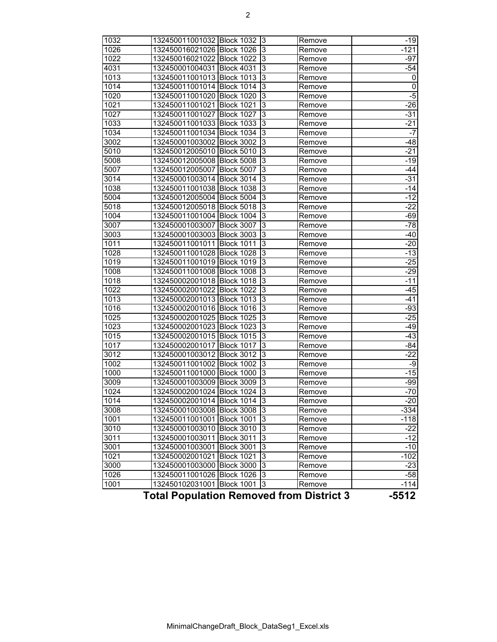| 1032<br>1026<br>1022<br>4031<br>1013<br>1014<br>1020<br>1021<br>1027<br>1033<br>1034<br>3002<br>5010<br>5008<br>5007<br>3014<br>1038<br>5004<br>5018<br>1004<br>3007 | 132450011001032 Block 1032 3<br>132450016021026 Block 1026<br>132450016021022 Block 1022<br>132450001004031<br><b>Block 4031</b><br>132450011001013 Block 1013<br>132450011001014 Block 1014<br>132450011001020 Block 1020<br>132450011001021<br><b>Block 1021</b><br>132450011001027<br><b>Block 1027</b><br>132450011001033<br><b>Block 1033</b><br>132450011001034<br><b>Block 1034</b><br><b>Block 3002</b><br>132450001003002<br>132450012005010<br><b>Block 5010</b><br>132450012005008<br><b>Block 5008</b><br>132450012005007<br><b>Block 5007</b><br>132450001003014<br><b>Block 3014</b><br>132450011001038 Block 1038<br>132450012005004<br><b>Block 5004</b><br>132450012005018<br><b>Block 5018</b><br>132450011001004<br><b>Block 1004</b><br><b>Block 3007</b><br>132450001003007<br>132450001003003 Block 3003 | 3<br>3<br>3<br>$\overline{3}$<br>3<br>3<br>3<br>3<br>3<br>3<br>3<br>3<br>3<br>3<br>3<br>3<br>3<br>3<br>3<br>3<br>3 | Remove<br>Remove<br>Remove<br>Remove<br>Remove<br>Remove<br>Remove<br>Remove<br>Remove<br>Remove<br>Remove<br>Remove<br>Remove<br>Remove<br>Remove<br>Remove<br>Remove<br>Remove<br>Remove<br>Remove | $-19$<br>-121<br>-97<br>-54<br>$\overline{0}$<br>$\overline{0}$<br>$-5$<br>$-26$<br>$-31$<br>$-21$<br>-7<br>-48<br>$-21$<br>-19<br>-44<br>$-31$<br>-14<br>$-12$<br>$-22$<br>$-69$ |
|----------------------------------------------------------------------------------------------------------------------------------------------------------------------|--------------------------------------------------------------------------------------------------------------------------------------------------------------------------------------------------------------------------------------------------------------------------------------------------------------------------------------------------------------------------------------------------------------------------------------------------------------------------------------------------------------------------------------------------------------------------------------------------------------------------------------------------------------------------------------------------------------------------------------------------------------------------------------------------------------------------------|--------------------------------------------------------------------------------------------------------------------|------------------------------------------------------------------------------------------------------------------------------------------------------------------------------------------------------|-----------------------------------------------------------------------------------------------------------------------------------------------------------------------------------|
|                                                                                                                                                                      |                                                                                                                                                                                                                                                                                                                                                                                                                                                                                                                                                                                                                                                                                                                                                                                                                                |                                                                                                                    |                                                                                                                                                                                                      |                                                                                                                                                                                   |
|                                                                                                                                                                      |                                                                                                                                                                                                                                                                                                                                                                                                                                                                                                                                                                                                                                                                                                                                                                                                                                |                                                                                                                    |                                                                                                                                                                                                      |                                                                                                                                                                                   |
|                                                                                                                                                                      |                                                                                                                                                                                                                                                                                                                                                                                                                                                                                                                                                                                                                                                                                                                                                                                                                                |                                                                                                                    |                                                                                                                                                                                                      |                                                                                                                                                                                   |
|                                                                                                                                                                      |                                                                                                                                                                                                                                                                                                                                                                                                                                                                                                                                                                                                                                                                                                                                                                                                                                |                                                                                                                    |                                                                                                                                                                                                      |                                                                                                                                                                                   |
|                                                                                                                                                                      |                                                                                                                                                                                                                                                                                                                                                                                                                                                                                                                                                                                                                                                                                                                                                                                                                                |                                                                                                                    |                                                                                                                                                                                                      |                                                                                                                                                                                   |
|                                                                                                                                                                      |                                                                                                                                                                                                                                                                                                                                                                                                                                                                                                                                                                                                                                                                                                                                                                                                                                |                                                                                                                    |                                                                                                                                                                                                      |                                                                                                                                                                                   |
|                                                                                                                                                                      |                                                                                                                                                                                                                                                                                                                                                                                                                                                                                                                                                                                                                                                                                                                                                                                                                                |                                                                                                                    |                                                                                                                                                                                                      |                                                                                                                                                                                   |
|                                                                                                                                                                      |                                                                                                                                                                                                                                                                                                                                                                                                                                                                                                                                                                                                                                                                                                                                                                                                                                |                                                                                                                    |                                                                                                                                                                                                      |                                                                                                                                                                                   |
|                                                                                                                                                                      |                                                                                                                                                                                                                                                                                                                                                                                                                                                                                                                                                                                                                                                                                                                                                                                                                                |                                                                                                                    |                                                                                                                                                                                                      |                                                                                                                                                                                   |
|                                                                                                                                                                      |                                                                                                                                                                                                                                                                                                                                                                                                                                                                                                                                                                                                                                                                                                                                                                                                                                |                                                                                                                    |                                                                                                                                                                                                      |                                                                                                                                                                                   |
|                                                                                                                                                                      |                                                                                                                                                                                                                                                                                                                                                                                                                                                                                                                                                                                                                                                                                                                                                                                                                                |                                                                                                                    |                                                                                                                                                                                                      |                                                                                                                                                                                   |
|                                                                                                                                                                      |                                                                                                                                                                                                                                                                                                                                                                                                                                                                                                                                                                                                                                                                                                                                                                                                                                |                                                                                                                    |                                                                                                                                                                                                      |                                                                                                                                                                                   |
|                                                                                                                                                                      |                                                                                                                                                                                                                                                                                                                                                                                                                                                                                                                                                                                                                                                                                                                                                                                                                                |                                                                                                                    |                                                                                                                                                                                                      |                                                                                                                                                                                   |
|                                                                                                                                                                      |                                                                                                                                                                                                                                                                                                                                                                                                                                                                                                                                                                                                                                                                                                                                                                                                                                |                                                                                                                    |                                                                                                                                                                                                      |                                                                                                                                                                                   |
|                                                                                                                                                                      |                                                                                                                                                                                                                                                                                                                                                                                                                                                                                                                                                                                                                                                                                                                                                                                                                                |                                                                                                                    |                                                                                                                                                                                                      |                                                                                                                                                                                   |
|                                                                                                                                                                      |                                                                                                                                                                                                                                                                                                                                                                                                                                                                                                                                                                                                                                                                                                                                                                                                                                |                                                                                                                    |                                                                                                                                                                                                      |                                                                                                                                                                                   |
|                                                                                                                                                                      |                                                                                                                                                                                                                                                                                                                                                                                                                                                                                                                                                                                                                                                                                                                                                                                                                                |                                                                                                                    |                                                                                                                                                                                                      |                                                                                                                                                                                   |
|                                                                                                                                                                      |                                                                                                                                                                                                                                                                                                                                                                                                                                                                                                                                                                                                                                                                                                                                                                                                                                |                                                                                                                    |                                                                                                                                                                                                      |                                                                                                                                                                                   |
|                                                                                                                                                                      |                                                                                                                                                                                                                                                                                                                                                                                                                                                                                                                                                                                                                                                                                                                                                                                                                                |                                                                                                                    |                                                                                                                                                                                                      |                                                                                                                                                                                   |
|                                                                                                                                                                      |                                                                                                                                                                                                                                                                                                                                                                                                                                                                                                                                                                                                                                                                                                                                                                                                                                |                                                                                                                    |                                                                                                                                                                                                      |                                                                                                                                                                                   |
|                                                                                                                                                                      |                                                                                                                                                                                                                                                                                                                                                                                                                                                                                                                                                                                                                                                                                                                                                                                                                                |                                                                                                                    | Remove                                                                                                                                                                                               | -78                                                                                                                                                                               |
| 3003                                                                                                                                                                 |                                                                                                                                                                                                                                                                                                                                                                                                                                                                                                                                                                                                                                                                                                                                                                                                                                |                                                                                                                    | Remove                                                                                                                                                                                               | -40                                                                                                                                                                               |
| 1011                                                                                                                                                                 | 132450011001011<br><b>Block 1011</b>                                                                                                                                                                                                                                                                                                                                                                                                                                                                                                                                                                                                                                                                                                                                                                                           | 3                                                                                                                  | Remove                                                                                                                                                                                               | $-20$                                                                                                                                                                             |
| 1028                                                                                                                                                                 | 132450011001028 Block 1028                                                                                                                                                                                                                                                                                                                                                                                                                                                                                                                                                                                                                                                                                                                                                                                                     | 3                                                                                                                  | Remove                                                                                                                                                                                               | $-13$                                                                                                                                                                             |
| 1019                                                                                                                                                                 | 132450011001019 Block 1019                                                                                                                                                                                                                                                                                                                                                                                                                                                                                                                                                                                                                                                                                                                                                                                                     | 3                                                                                                                  | Remove                                                                                                                                                                                               | $-25$                                                                                                                                                                             |
| 1008                                                                                                                                                                 | 132450011001008 Block 1008                                                                                                                                                                                                                                                                                                                                                                                                                                                                                                                                                                                                                                                                                                                                                                                                     | 3                                                                                                                  | Remove                                                                                                                                                                                               | $-29$                                                                                                                                                                             |
| 1018                                                                                                                                                                 | 132450002001018 Block 1018                                                                                                                                                                                                                                                                                                                                                                                                                                                                                                                                                                                                                                                                                                                                                                                                     | 3                                                                                                                  | Remove                                                                                                                                                                                               | $-11$                                                                                                                                                                             |
| 1022                                                                                                                                                                 | 132450002001022 Block 1022                                                                                                                                                                                                                                                                                                                                                                                                                                                                                                                                                                                                                                                                                                                                                                                                     | 3                                                                                                                  | Remove                                                                                                                                                                                               | -45                                                                                                                                                                               |
| 1013                                                                                                                                                                 | 132450002001013 Block 1013                                                                                                                                                                                                                                                                                                                                                                                                                                                                                                                                                                                                                                                                                                                                                                                                     | 3                                                                                                                  | Remove                                                                                                                                                                                               | -41                                                                                                                                                                               |
| 1016                                                                                                                                                                 | 132450002001016 Block 1016                                                                                                                                                                                                                                                                                                                                                                                                                                                                                                                                                                                                                                                                                                                                                                                                     | 3                                                                                                                  | Remove                                                                                                                                                                                               | $-93$                                                                                                                                                                             |
| 1025                                                                                                                                                                 | 132450002001025<br><b>Block 1025</b>                                                                                                                                                                                                                                                                                                                                                                                                                                                                                                                                                                                                                                                                                                                                                                                           | 3                                                                                                                  | Remove                                                                                                                                                                                               | $-25$                                                                                                                                                                             |
| 1023                                                                                                                                                                 | 132450002001023<br><b>Block 1023</b>                                                                                                                                                                                                                                                                                                                                                                                                                                                                                                                                                                                                                                                                                                                                                                                           | 3                                                                                                                  | Remove                                                                                                                                                                                               | -49                                                                                                                                                                               |
| 1015                                                                                                                                                                 | 132450002001015<br><b>Block 1015</b>                                                                                                                                                                                                                                                                                                                                                                                                                                                                                                                                                                                                                                                                                                                                                                                           | 3                                                                                                                  | Remove                                                                                                                                                                                               | -43                                                                                                                                                                               |
| 1017                                                                                                                                                                 | 132450002001017<br><b>Block 1017</b>                                                                                                                                                                                                                                                                                                                                                                                                                                                                                                                                                                                                                                                                                                                                                                                           | 3                                                                                                                  | Remove                                                                                                                                                                                               | -84                                                                                                                                                                               |
| 3012                                                                                                                                                                 | 132450001003012<br><b>Block 3012</b>                                                                                                                                                                                                                                                                                                                                                                                                                                                                                                                                                                                                                                                                                                                                                                                           | 3                                                                                                                  | Remove                                                                                                                                                                                               | $-22$                                                                                                                                                                             |
| 1002                                                                                                                                                                 | 132450011001002 Block 1002                                                                                                                                                                                                                                                                                                                                                                                                                                                                                                                                                                                                                                                                                                                                                                                                     | 3                                                                                                                  | Remove                                                                                                                                                                                               | $-9$                                                                                                                                                                              |
| 1000                                                                                                                                                                 | 132450011001000 Block 1000                                                                                                                                                                                                                                                                                                                                                                                                                                                                                                                                                                                                                                                                                                                                                                                                     | 3                                                                                                                  | Remove                                                                                                                                                                                               | $-15$                                                                                                                                                                             |
| 3009                                                                                                                                                                 | 132450001003009 Block 3009                                                                                                                                                                                                                                                                                                                                                                                                                                                                                                                                                                                                                                                                                                                                                                                                     | 3                                                                                                                  | Remove                                                                                                                                                                                               | -99                                                                                                                                                                               |
| 1024                                                                                                                                                                 | 132450002001024 Block 1024                                                                                                                                                                                                                                                                                                                                                                                                                                                                                                                                                                                                                                                                                                                                                                                                     | 3                                                                                                                  | Remove                                                                                                                                                                                               | $-70$                                                                                                                                                                             |
| 1014                                                                                                                                                                 | 132450002001014 Block 1014 3                                                                                                                                                                                                                                                                                                                                                                                                                                                                                                                                                                                                                                                                                                                                                                                                   |                                                                                                                    | Remove                                                                                                                                                                                               | -20                                                                                                                                                                               |
| 3008                                                                                                                                                                 | 132450001003008 Block 3008 3                                                                                                                                                                                                                                                                                                                                                                                                                                                                                                                                                                                                                                                                                                                                                                                                   |                                                                                                                    | Remove                                                                                                                                                                                               | $-334$                                                                                                                                                                            |
| 1001                                                                                                                                                                 | 132450011001001 Block 1001                                                                                                                                                                                                                                                                                                                                                                                                                                                                                                                                                                                                                                                                                                                                                                                                     | 3                                                                                                                  | Remove                                                                                                                                                                                               | -118                                                                                                                                                                              |
| 3010                                                                                                                                                                 | 132450001003010 Block 3010                                                                                                                                                                                                                                                                                                                                                                                                                                                                                                                                                                                                                                                                                                                                                                                                     | 3                                                                                                                  | Remove                                                                                                                                                                                               | $-22$                                                                                                                                                                             |
| 3011                                                                                                                                                                 | <b>Block 3011</b><br>132450001003011                                                                                                                                                                                                                                                                                                                                                                                                                                                                                                                                                                                                                                                                                                                                                                                           | 3                                                                                                                  | Remove                                                                                                                                                                                               | $-12$                                                                                                                                                                             |
| 3001                                                                                                                                                                 | <b>Block 3001</b><br>132450001003001                                                                                                                                                                                                                                                                                                                                                                                                                                                                                                                                                                                                                                                                                                                                                                                           | 3                                                                                                                  | Remove                                                                                                                                                                                               | $-10$                                                                                                                                                                             |
| 1021                                                                                                                                                                 | 132450002001021 Block 1021                                                                                                                                                                                                                                                                                                                                                                                                                                                                                                                                                                                                                                                                                                                                                                                                     | 3                                                                                                                  | Remove                                                                                                                                                                                               | $-102$                                                                                                                                                                            |
| 3000                                                                                                                                                                 | 132450001003000 Block 3000                                                                                                                                                                                                                                                                                                                                                                                                                                                                                                                                                                                                                                                                                                                                                                                                     | 3                                                                                                                  | Remove                                                                                                                                                                                               | $-23$                                                                                                                                                                             |
| 1026                                                                                                                                                                 | 132450011001026 Block 1026                                                                                                                                                                                                                                                                                                                                                                                                                                                                                                                                                                                                                                                                                                                                                                                                     | 3                                                                                                                  | Remove                                                                                                                                                                                               | $-58$                                                                                                                                                                             |
| 1001                                                                                                                                                                 | 132450102031001 Block 1001                                                                                                                                                                                                                                                                                                                                                                                                                                                                                                                                                                                                                                                                                                                                                                                                     | 3                                                                                                                  | Remove                                                                                                                                                                                               | $-114$                                                                                                                                                                            |
|                                                                                                                                                                      | <b>Total Population Removed from District 3</b>                                                                                                                                                                                                                                                                                                                                                                                                                                                                                                                                                                                                                                                                                                                                                                                |                                                                                                                    |                                                                                                                                                                                                      | $-5512$                                                                                                                                                                           |

MinimalChangeDraft\_Block\_DataSeg1\_Excel.xls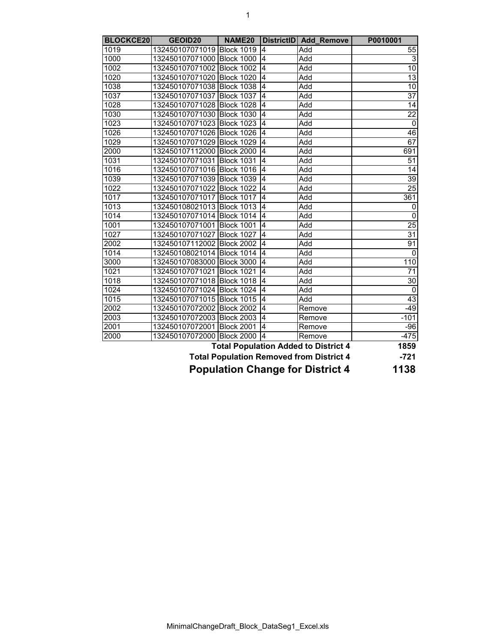| <b>BLOCKCE20</b> | GEOID20                      | NAME <sub>20</sub> |                | DistrictID Add Remove                           | P0010001        |
|------------------|------------------------------|--------------------|----------------|-------------------------------------------------|-----------------|
| 1019             | 132450107071019 Block 1019   |                    | 4              | Add                                             | 55              |
| 1000             | 132450107071000 Block 1000   |                    | 4              | Add                                             | $\overline{3}$  |
| 1002             | 132450107071002 Block 1002   |                    | 4              | Add                                             | $\overline{10}$ |
| 1020             | 132450107071020 Block 1020   |                    | 4              | Add                                             | 13              |
| 1038             | 132450107071038 Block 1038   |                    | $\overline{4}$ | Add                                             | $\overline{10}$ |
| 1037             | 132450107071037 Block 1037   |                    | 4              | Add                                             | $\overline{37}$ |
| 1028             | 132450107071028              | Block 1028         | 4              | Add                                             | $\overline{14}$ |
| 1030             | 132450107071030 Block 1030   |                    | 4              | Add                                             | $\overline{22}$ |
| 1023             | 132450107071023 Block 1023   |                    | 4              | Add                                             | $\pmb{0}$       |
| 1026             | 132450107071026 Block 1026   |                    | 4              | Add                                             | 46              |
| 1029             | 132450107071029 Block 1029   |                    | 4              | Add                                             | 67              |
| 2000             | 132450107112000 Block 2000   |                    | $\overline{4}$ | Add                                             | 691             |
| 1031             | 132450107071031 Block 1031   |                    | $\overline{4}$ | Add                                             | 51              |
| 1016             | 132450107071016 Block 1016   |                    | $\overline{4}$ | Add                                             | $\overline{14}$ |
| 1039             | 132450107071039 Block 1039   |                    | $\overline{4}$ | Add                                             | 39              |
| 1022             | 132450107071022 Block 1022   |                    | 4              | Add                                             | 25              |
| 1017             | 132450107071017 Block 1017   |                    | $\overline{4}$ | Add                                             | 361             |
| 1013             | 132450108021013 Block 1013   |                    | 4              | Add                                             | 0               |
| 1014             | 132450107071014 Block 1014   |                    | 4              | Add                                             | $\pmb{0}$       |
| 1001             | 132450107071001              | <b>Block 1001</b>  | 4              | Add                                             | $\overline{25}$ |
| 1027             | 132450107071027              | <b>Block 1027</b>  | 4              | Add                                             | $\overline{31}$ |
| 2002             | 132450107112002 Block 2002   |                    | 4              | Add                                             | 91              |
| 1014             | 132450108021014 Block 1014   |                    | 4              | Add                                             | $\Omega$        |
| 3000             | 132450107083000 Block 3000 4 |                    |                | Add                                             | 110             |
| 1021             | 132450107071021 Block 1021   |                    | $\overline{4}$ | Add                                             | 71              |
| 1018             | 132450107071018 Block 1018   |                    | $\overline{4}$ | Add                                             | 30              |
| 1024             | 132450107071024 Block 1024   |                    | $\overline{4}$ | Add                                             | $\mathbf{0}$    |
| 1015             | 132450107071015 Block 1015   |                    | $\overline{4}$ | Add                                             | 43              |
| 2002             | 132450107072002 Block 2002   |                    | 4              | Remove                                          | $-49$           |
| 2003             | 132450107072003 Block 2003   |                    | 4              | Remove                                          | $-101$          |
| 2001             | 132450107072001 Block 2001   |                    | $\overline{4}$ | Remove                                          | $-96$           |
| 2000             | 132450107072000 Block 2000   |                    | $\overline{4}$ | Remove                                          | $-475$          |
|                  |                              |                    |                | <b>Total Population Added to District 4</b>     | 1859            |
|                  |                              |                    |                | <b>Total Population Removed from District 4</b> | $-721$          |
|                  |                              |                    |                |                                                 |                 |

 **Population Change for District 4**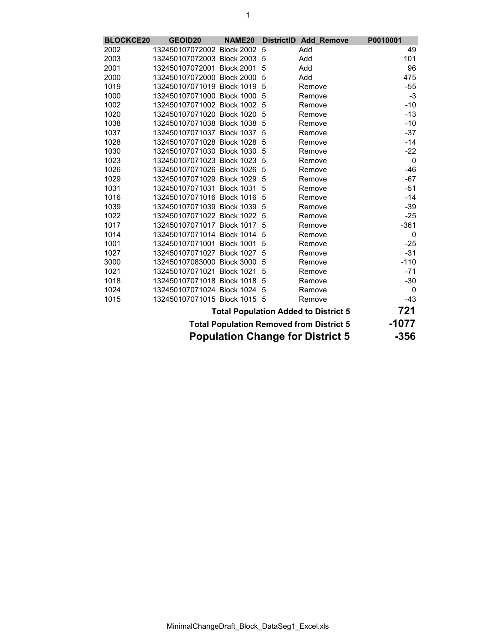| <b>BLOCKCE20</b> | <b>GEOID20</b>                          | NAME20 |     | DistrictID Add_Remove                           | P0010001    |
|------------------|-----------------------------------------|--------|-----|-------------------------------------------------|-------------|
| 2002             | 132450107072002 Block 2002              |        | 5   | Add                                             | 49          |
| 2003             | 132450107072003 Block 2003              |        | 5   | Add                                             | 101         |
| 2001             | 132450107072001 Block 2001              |        | 5   | Add                                             | 96          |
| 2000             | 132450107072000 Block 2000              |        | 5   | Add                                             | 475         |
| 1019             | 132450107071019 Block 1019              |        | 5   | Remove                                          | $-55$       |
| 1000             | 132450107071000 Block 1000 5            |        |     | Remove                                          | -3          |
| 1002             | 132450107071002 Block 1002              |        | 5   | Remove                                          | -10         |
| 1020             | 132450107071020 Block 1020 5            |        |     | Remove                                          | $-13$       |
| 1038             | 132450107071038 Block 1038              |        | 5   | Remove                                          | $-10$       |
| 1037             | 132450107071037 Block 1037              |        | 5   | Remove                                          | $-37$       |
| 1028             | 132450107071028 Block 1028              |        | 5   | Remove                                          | $-14$       |
| 1030             | 132450107071030 Block 1030              |        | 5   | Remove                                          | $-22$       |
| 1023             | 132450107071023 Block 1023 5            |        |     | Remove                                          | $\mathbf 0$ |
| 1026             | 132450107071026 Block 1026 5            |        |     | Remove                                          | $-46$       |
| 1029             | 132450107071029 Block 1029              |        | 5   | Remove                                          | $-67$       |
| 1031             | 132450107071031 Block 1031              |        | 5   | Remove                                          | $-51$       |
| 1016             | 132450107071016 Block 1016              |        | 5   | Remove                                          | -14         |
| 1039             | 132450107071039 Block 1039              |        | -5  | Remove                                          | -39         |
| 1022             | 132450107071022 Block 1022              |        | - 5 | Remove                                          | $-25$       |
| 1017             | 132450107071017 Block 1017              |        | 5   | Remove                                          | $-361$      |
| 1014             | 132450107071014 Block 1014              |        | 5   | Remove                                          | 0           |
| 1001             | 132450107071001 Block 1001              |        | 5   | Remove                                          | $-25$       |
| 1027             | 132450107071027 Block 1027              |        | 5   | Remove                                          | $-31$       |
| 3000             | 132450107083000 Block 3000              |        | 5   | Remove                                          | $-110$      |
| 1021             | 132450107071021 Block 1021              |        | 5   | Remove                                          | $-71$       |
| 1018             | 132450107071018 Block 1018 5            |        |     | Remove                                          | $-30$       |
| 1024             | 132450107071024 Block 1024 5            |        |     | Remove                                          | 0           |
| 1015             | 132450107071015 Block 1015 5            |        |     | Remove                                          | $-43$       |
|                  |                                         |        |     | <b>Total Population Added to District 5</b>     | 721         |
|                  |                                         |        |     | <b>Total Population Removed from District 5</b> | $-1077$     |
|                  | <b>Population Change for District 5</b> | $-356$ |     |                                                 |             |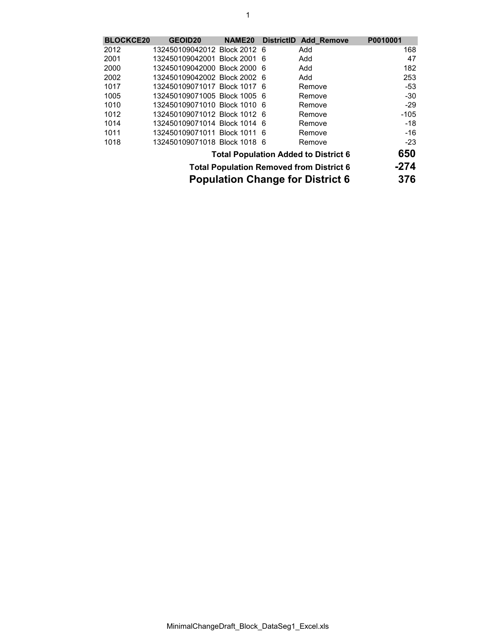| <b>BLOCKCE20</b> | <b>GEOID20</b>               | NAME <sub>20</sub> | DistrictID Add Remove                           | P0010001 |
|------------------|------------------------------|--------------------|-------------------------------------------------|----------|
| 2012             | 132450109042012 Block 2012 6 |                    | Add                                             | 168      |
| 2001             | 132450109042001 Block 2001 6 |                    | Add                                             | 47       |
| 2000             | 132450109042000 Block 2000 6 |                    | Add                                             | 182      |
| 2002             | 132450109042002 Block 2002 6 |                    | Add                                             | 253      |
| 1017             | 132450109071017 Block 1017 6 |                    | Remove                                          | $-53$    |
| 1005             | 132450109071005 Block 1005 6 |                    | Remove                                          | $-30$    |
| 1010             | 132450109071010 Block 1010 6 |                    | Remove                                          | $-29$    |
| 1012             | 132450109071012 Block 1012 6 |                    | Remove                                          | $-105$   |
| 1014             | 132450109071014 Block 1014 6 |                    | Remove                                          | $-18$    |
| 1011             | 132450109071011 Block 1011 6 |                    | Remove                                          | -16      |
| 1018             | 132450109071018 Block 1018 6 |                    | Remove                                          | $-23$    |
|                  |                              |                    | <b>Total Population Added to District 6</b>     | 650      |
|                  |                              |                    | <b>Total Population Removed from District 6</b> | -274     |
|                  |                              |                    |                                                 |          |

 **Population Change for District 6**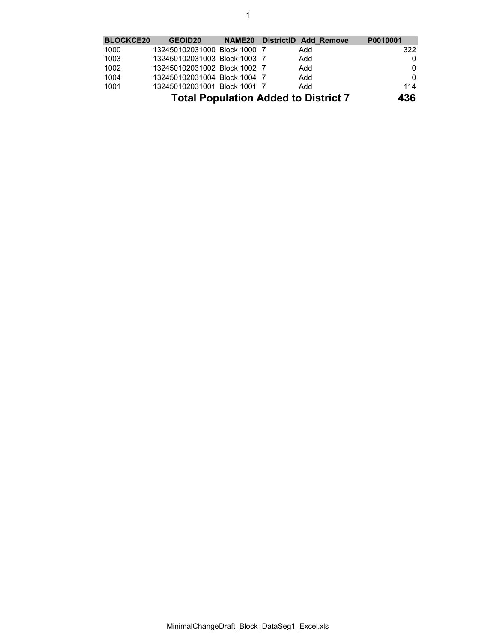## 1